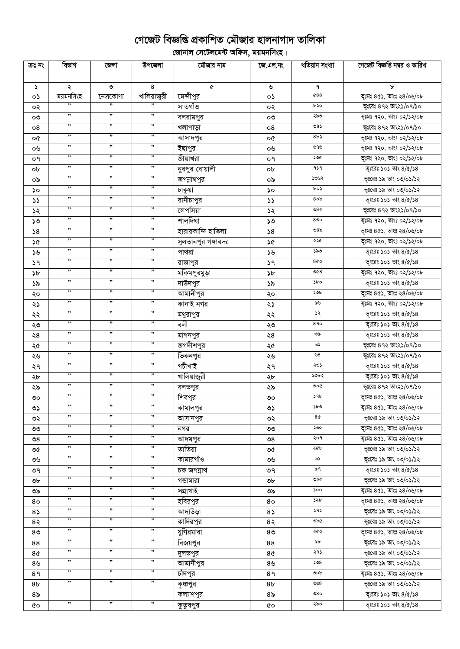## গেজেট বিজ্ঞপ্তি প্রকাশিত মৌজার হালনাগাদ তালিকা

ূলিকা<br>বিদ্যালয় সেটেলমেন্ট অফিস, ময়মনসিংহ।

| ক্ৰঃ নং        | বিভাগ                | জেলা                 | উপজেলা               | মৌজার নাম            | জে.এল.নং              | খতিয়ান সংখ্যা | গেজেট বিজ্ঞপ্তি নম্বর ও তারিখ   |
|----------------|----------------------|----------------------|----------------------|----------------------|-----------------------|----------------|---------------------------------|
| S.             |                      | ৩                    | 8                    | ¢                    | ৬                     | ٩              | Ъ                               |
| o۵             | ২<br>ময়মনসিংহ       | নেত্ৰকোণা            | খালিয়াজুরী          | মেন্দীপুর            | ০১                    | 0.88           | ভূঃমঃ ৪৫১, তাংঃ ২৪/০৬/০৮        |
| ০২             | ,,                   | ,,                   | ,,                   | সাতগাঁও              | ০২                    | ৮১০            | ভূঃরেঃ ৪৭২ তাং২১/০৭/১০          |
|                | ,,                   | ,                    | ,,                   |                      |                       | ২৯৩            | ভূঃমঃ ৭২০, তাংঃ ০২/১২/০৮        |
| ೲ              | ,,                   | ,,                   | ,,                   | বলরামপুর<br>খলাপাড়া | ೲ                     | $08\lambda$    | ভূঃরেঃ ৪৭২ তাং২১/০৭/১০          |
| 08             | ,,                   | ,                    | ,,                   |                      | 08                    | 8b3            | ভূগ্মঃ ৭২০, তাংঃ ০২/১২/০৮       |
| o¢             | ,,                   | ,,                   | ,,                   | আসাদপুর              | o¢                    | ৬৭৬            | ভূঃমঃ ৭২০, তাংঃ ০২/১২/০৮        |
| ০৬             | ,,                   | ,,                   | ,,                   | ইছাপুর               | ০৬                    | ১৩৫            |                                 |
| ०१             | ,,                   | ,,                   | ,,                   | জীয়াখরা             | ०१                    | 959            | ভূঃমঃ ৭২০, তাংঃ ০২/১২/০৮        |
| ob             | ,,                   | ,,                   | ,,                   | নুরপুর বোয়ালী       | ob                    | ১৩৬২           | ভূঃরেঃ ১০১ তাং ৪/৫/১৪           |
| ০৯             | ,,                   | ,,                   | ,,                   | জগন্নাথপুর           | ০৯                    | ৮০১            | ভূঃরেঃ ১৯ তাং ০৩/০১/১২          |
| ১০             | ,,                   | ,,                   | ,,                   | চাকুয়া              | ১০                    | ৪০৯            | ভূঃরেঃ ১৯ তাং ০৩/০১/১২          |
| $\mathcal{L}$  | ,,                   | ,,                   | ,,                   | রানীচাপুর            | $\mathcal{L}$         | ৬৪২            | ভূঃরেঃ ১০১ তাং ৪/৫/১৪           |
| ১২             | ,,                   | ,,                   | ,,                   | লেপসিয়া             | ১২                    | 800            | ভূঃরেঃ ৪৭২ তাং২১/০৭/১০          |
| ১৩             | ,,                   | ,,                   | ,,                   | শালদিঘা              | ১৩                    | ৩৪৯            | ভূগ্মঃ ৭২০, তাংঃ ০২/১২/০৮       |
| 58             | ,,                   | ,,                   | $, \,$               | হারারকান্দি হাতিলা   | 58                    |                | ভূঃমঃ ৪৫১, তাংঃ ২৪/০৬/০৮        |
| ১৫             | $, \,$               | ,,                   | $, \,$               | সুলতানপুর গঙ্গাবদর   | ১৫                    | ২১৫            | ভূঃমঃ ৭২০, তাংঃ ০২/১২/০৮        |
| ১৬             | $\pmb{\mathfrak{y}}$ | ,,                   | $, \,$               | পাথরা                | ১৬                    | ১৯৩            | ভূঃরেঃ ১০১ তাং ৪/৫/১৪           |
| 59             | ,                    | ,                    | $, \,$               | রাজাপুর              | 39                    | 800            | ভূঃরেঃ ১০১ তাং ৪/৫/১৪           |
| $\mathcal{P}$  | ,                    | ,,                   | $, \,$               | মকিমপুরমুড়া         | $\delta b$            | 008            | ভূঃমঃ ৭২০, তাংঃ ০২/১২/০৮        |
| ১৯             |                      | ,,                   |                      | দাউদপুর              | ১৯                    | $\delta$       | ভূঃরেঃ ১০১ তাং $8/\alpha/38$    |
| ২০             | ,                    | ,,                   | $, \,$<br>,,         | আমানীপুর             | ২০                    | ১৩৮            | ভূঃমঃ ৪৫১, তাংঃ ২৪/০৬/০৮        |
| ২১             | ,,                   | ,,                   | ,,                   | কানাই নগর            | ২১                    | ৯৬             | ভূঃমঃ ৭২০, তাংঃ ০২/১২/০৮        |
| ২২             | ,,                   |                      |                      | মথুরাপুর             | ২২                    | ১২             | ভূঃরেঃ ১০১ তাং ৪/৫/১৪           |
| ২৩             | ,,                   | ,,                   | ,,                   | বলী                  | ২৩                    | 890            | ভূঃরেঃ ১০১ তাং ৪/৫/১৪           |
| $\geq 8$       | $, \,$               | ,,                   | $, \,$               | মাগনপুর              | ২৪                    | ৩৯             | ভূঃরেঃ ১০১ তাং ৪/৫/১৪           |
| ২৫             | ,,                   | ,,                   | ,,                   | জগদীশপুর             | ২৫                    | ৬১             | ভূঃরেঃ ৪৭২ তাং২১/০৭/১০          |
| ২৬             | ,,                   | $, \,$               | ,,                   | ভিকনপুর              | ২৬                    | ৬৪             | ভূঃরেঃ ৪৭২ তাং২১/০৭/১০          |
| ২৭             | ,,                   | ,,                   | $, \,$               | গচীখাই               | ২৭                    | ২৩১            | ভূঃরেঃ ১০১ তাং ৪/৫/১৪           |
| ২৮             | ,,                   | ,,                   | $, \,$               | থালিয়াজুরী          | ২৮                    | ১৩৮২           | ভূঃরেঃ ১০১ তাং $8/\alpha/38$    |
| ২৯             | ,,                   | ,,                   | ,,                   | বলভপুর               | ২৯                    | ৩০৫            | ভূঃরেঃ ৪৭২ তাং২১/০৭/১০          |
| ৩০             | ,,                   | ,,                   | $\pmb{\mathfrak{H}}$ | শিবপুর               | ಄                     | ১৭৮            | ভূঃমঃ ৪৫১, তাংঃ ২৪/০৬/০৮        |
| ৩১             | ,,                   | ,,                   | ,,                   | কামালপুর             | ৩১                    | ১৮৩            | ভূঃমঃ ৪৫১, তাংঃ ২৪/০৬/০৮        |
| ৩২             | $, \,$               | ,,                   | ,,                   | আসানপুর              | ৩২                    | 8Q             | ভূঃরেঃ ১৯ তাং ০৩/০১/১২          |
| ৩৩             | ,,                   | ,                    | ,,                   | নগর                  | ৩৩                    | ১৬০            | ভূঃমঃ ৪৫১, তাংঃ ২৪/০৬/০৮        |
| ৩৪             | ,,                   | ,,                   | ,,                   | আদমপুর               | $\mathcal{S}^{\circ}$ | ২০৭            | ভূঃমঃ $8$ ৫১, তাংঃ ২ $8$ /০৬/০৮ |
| ৩৫             | "                    | , ,                  | , ,                  | তাতিয়া              | ৩৫                    | ২৫৮            | ভূঃরেঃ ১৯ তাং ০৩/০১/১২          |
| ৩৬             | $\pmb{\mathfrak{y}}$ | $\pmb{\mathfrak{y}}$ | $, \,$               | কামারগাঁও            | ৩৬                    | ৬১             | ভূঃরেঃ ১৯ তাং ০৩/০১/১২          |
| ৩৭             | ,,                   | $, \,$               | $, \,$               | চক জগন্নাথ           | ৩৭                    | ৯৭             | ভূঃরেঃ ১০১ তাং ৪/৫/১৪           |
| ৩৮             | "                    | ,                    | $, \,$               | গভামারা              | ৩৮                    | ৩২৫            | ভূঃরেঃ ১৯ তাং ০৩/০১/১২          |
| ৩৯             | ,,                   | , ,                  | , ,                  | সগ্ৰাখাই             | ৩৯                    | ১০০            | ভূঃমঃ ৪৫১, তাংঃ ২৪/০৬/০৮        |
| 80             | $\pmb{\mathfrak{y}}$ | $\pmb{\mathfrak{y}}$ | $, \,$               | হবিরপুর              | 80                    | ১২৮            | ভূঃমঃ ৪৫১, তাংঃ ২৪/০৬/০৮        |
| 85             | $\pmb{\mathfrak{y}}$ | ,                    | $, \,$               | আদাউড়া              | $8\sqrt{ }$           | ১৭১            | ভূঃরেঃ ১৯ তাং ০৩/০১/১২          |
| 8२             | ,,                   | , ,                  | ,,                   | কাদিরপুর             | 8२                    | ৩৯৫            | ভূঃরেঃ ১৯ তাং ০৩/০১/১২          |
| 8 <sub>0</sub> | ,,                   | , ,                  | ,,                   | যুগিরমারা            | 8 <sub>0</sub>        | ২৫০            | ভূঃমঃ $8$ ৫১, তাংঃ ২ $8$ /০৬/০৮ |
| 88             | ,,                   | ,                    | ,,                   | বিজয়পুর             | 88                    | ৯৮             | ভূঃরেঃ ১৯ তাং ০৩/০১/১২          |
| 8¢             | ,,                   | ,,                   | ,,                   | দুলভপুর              | 8¢                    | ২৭১            | ভূঃরেঃ ১৯ তাং ০৩/০১/১২          |
| ৪৬             | ,,                   | , ,                  | ,,                   | আমানীপুর             | 8 <sub>9</sub>        | 508            | ভূঃরেঃ ১৯ তাং ০৩/০১/১২          |
| 8१             | ,,                   | ,,                   | ,,                   | চাঁদপুর              | 8१                    | ৩০৮            | ভূঃমঃ $8$ ৫১, তাংঃ ২ $8$ /০৬/০৮ |
| 8৮             | ,,                   | ,                    | ,,                   | কৃঞ্চপুর             | 8 <sub>b</sub>        | ৬৬৪            | ভূঃরেঃ ১৯ তাং ০৩/০১/১২          |
| ৪৯             |                      |                      |                      | কল্যাণপুর            | 8 <sub>o</sub>        | ల $8\circ$     | ভূঃরেঃ ১০১ তাং ৪/৫/১৪           |
| ৫০             | ,,                   | ,,                   | ,,                   | কুতুবপুর             | QО                    | ২৯০            | ভূঃরেঃ ১০১ তাং ৪/৫/১৪           |